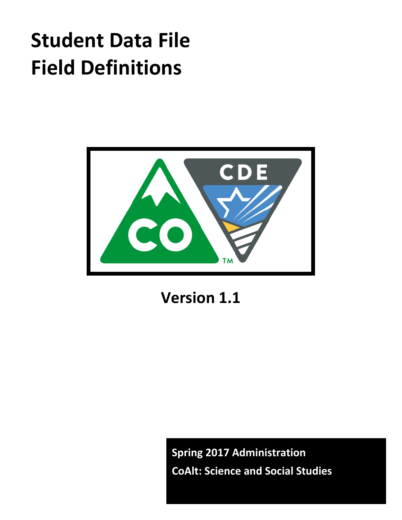# **Student Data File Field Definitions**



**Version 1.1**

**Spring 2017 Administration CoAlt: Science and Social Studies**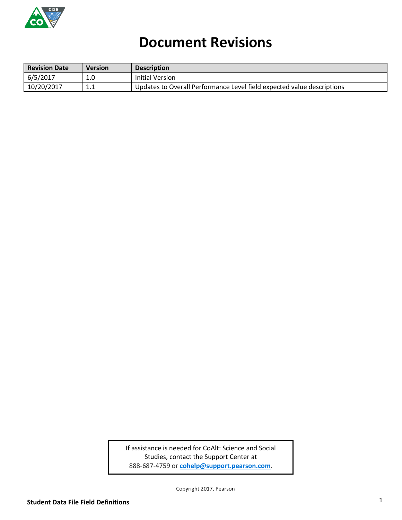

# **Document Revisions**

| <b>Revision Date</b> | <b>Version</b> | <b>Description</b>                                                     |
|----------------------|----------------|------------------------------------------------------------------------|
| 6/5/2017             | 1.0            | Initial Version                                                        |
| 10/20/2017           | 4.<br><b></b>  | Updates to Overall Performance Level field expected value descriptions |

If assistance is needed for CoAlt: Science and Social Studies, contact the Support Center at 888-687-4759 or **[cohelp@support.pearson.com](mailto:cohelp@support.pearson.com)**.

Copyright 2017, Pearson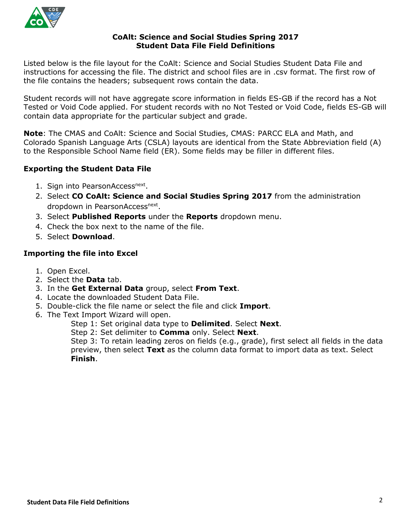

#### **CoAlt: Science and Social Studies Spring 2017 Student Data File Field Definitions**

Listed below is the file layout for the CoAlt: Science and Social Studies Student Data File and instructions for accessing the file. The district and school files are in .csv format. The first row of the file contains the headers; subsequent rows contain the data.

Student records will not have aggregate score information in fields ES-GB if the record has a Not Tested or Void Code applied. For student records with no Not Tested or Void Code, fields ES-GB will contain data appropriate for the particular subject and grade.

**Note**: The CMAS and CoAlt: Science and Social Studies, CMAS: PARCC ELA and Math, and Colorado Spanish Language Arts (CSLA) layouts are identical from the State Abbreviation field (A) to the Responsible School Name field (ER). Some fields may be filler in different files.

## **Exporting the Student Data File**

- 1. Sign into PearsonAccess<sup>next</sup>.
- 2. Select **CO CoAlt: Science and Social Studies Spring 2017** from the administration dropdown in PearsonAccess<sup>next</sup>.
- 3. Select **Published Reports** under the **Reports** dropdown menu.
- 4. Check the box next to the name of the file.
- 5. Select **Download**.

## **Importing the file into Excel**

- 1. Open Excel.
- 2. Select the **Data** tab.
- 3. In the **Get External Data** group, select **From Text**.
- 4. Locate the downloaded Student Data File.
- 5. Double-click the file name or select the file and click **Import**.
- 6. The Text Import Wizard will open.
	- Step 1: Set original data type to **Delimited**. Select **Next**.
		- Step 2: Set delimiter to **Comma** only. Select **Next**.

Step 3: To retain leading zeros on fields (e.g., grade), first select all fields in the data preview, then select **Text** as the column data format to import data as text. Select **Finish**.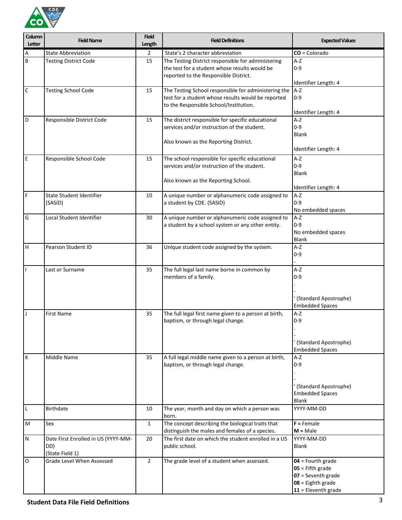

| Column<br>Letter | <b>Field Name</b>                                             | <b>Field</b><br>Length | <b>Field Definitions</b>                                                                                                                             | <b>Expected Values</b>                                                                                          |
|------------------|---------------------------------------------------------------|------------------------|------------------------------------------------------------------------------------------------------------------------------------------------------|-----------------------------------------------------------------------------------------------------------------|
| Α                | <b>State Abbreviation</b>                                     | $\overline{2}$         | State's 2 character abbreviation                                                                                                                     | $CO = Colorado$                                                                                                 |
| B                | <b>Testing District Code</b>                                  | 15                     | The Testing District responsible for administering<br>the test for a student whose results would be<br>reported to the Responsible District.         | $A-Z$<br>$0 - 9$<br>Identifier Length: 4                                                                        |
| $\mathsf C$      | <b>Testing School Code</b>                                    | 15                     | The Testing School responsible for administering the<br>test for a student whose results would be reported<br>to the Responsible School/Institution. | A-Z<br>$0 - 9$<br>Identifier Length: 4                                                                          |
| D                | Responsible District Code                                     | 15                     | The district responsible for specific educational<br>services and/or instruction of the student.<br>Also known as the Reporting District.            | A-Z<br>$0 - 9$<br><b>Blank</b><br>Identifier Length: 4                                                          |
| $\mathsf E$      | Responsible School Code                                       | 15                     | The school responsible for specific educational<br>services and/or instruction of the student.<br>Also known as the Reporting School.                | $A-Z$<br>$0 - 9$<br><b>Blank</b><br>Identifier Length: 4                                                        |
| $\mathsf F$      | State Student Identifier<br>(SASID)                           | 10                     | A unique number or alphanumeric code assigned to<br>a student by CDE. (SASID)                                                                        | $A-Z$<br>$0 - 9$<br>No embedded spaces                                                                          |
| G                | Local Student Identifier                                      | 30                     | A unique number or alphanumeric code assigned to<br>a student by a school system or any other entity.                                                | $A-Z$<br>$0 - 9$<br>No embedded spaces<br><b>Blank</b>                                                          |
| Н                | Pearson Student ID                                            | 36                     | Unique student code assigned by the system.                                                                                                          | $A-Z$<br>$0 - 9$                                                                                                |
|                  | Last or Surname                                               | 35                     | The full legal last name borne in common by<br>members of a family.                                                                                  | A-Z<br>$0 - 9$<br>(Standard Apostrophe)<br><b>Embedded Spaces</b>                                               |
| J                | <b>First Name</b>                                             | 35                     | The full legal first name given to a person at birth,<br>baptism, or through legal change.                                                           | A-Z<br>$0 - 9$<br>(Standard Apostrophe)<br><b>Embedded Spaces</b>                                               |
| К                | <b>Middle Name</b>                                            | 35                     | A full legal middle name given to a person at birth,<br>baptism, or through legal change.                                                            | A-Z<br>$0 - 9$<br>(Standard Apostrophe)<br><b>Embedded Spaces</b><br><b>Blank</b>                               |
| L                | Birthdate                                                     | 10                     | The year, month and day on which a person was<br>born.                                                                                               | YYYY-MM-DD                                                                                                      |
| M                | Sex                                                           | $\mathbf{1}$           | The concept describing the biological traits that<br>distinguish the males and females of a species.                                                 | $F =$ Female<br>$M = Male$                                                                                      |
| ${\sf N}$        | Date First Enrolled in US (YYYY-MM-<br>DD)<br>(State Field 1) | 20                     | The first date on which the student enrolled in a US<br>public school.                                                                               | YYYY-MM-DD<br>Blank                                                                                             |
| O                | Grade Level When Assessed                                     | $\overline{2}$         | The grade level of a student when assessed.                                                                                                          | $04$ = Fourth grade<br>$05$ = Fifth grade<br>07 = Seventh grade<br>$08 =$ Eighth grade<br>$11$ = Eleventh grade |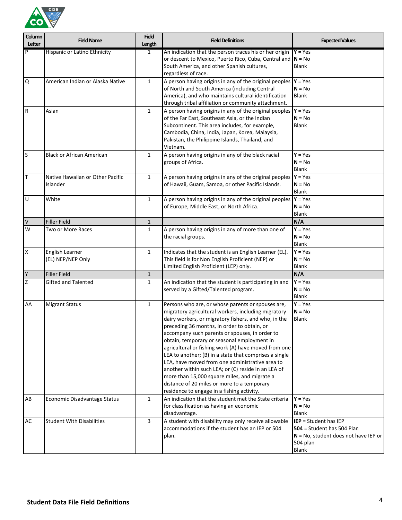

| Column<br>Letter | <b>Field Name</b>                            | <b>Field</b><br>Length | <b>Field Definitions</b>                                                                                                                                                                                                                                                                                                                                                                                                                                                                                                                                                                                                                                                                  | <b>Expected Values</b>                                                                                                              |
|------------------|----------------------------------------------|------------------------|-------------------------------------------------------------------------------------------------------------------------------------------------------------------------------------------------------------------------------------------------------------------------------------------------------------------------------------------------------------------------------------------------------------------------------------------------------------------------------------------------------------------------------------------------------------------------------------------------------------------------------------------------------------------------------------------|-------------------------------------------------------------------------------------------------------------------------------------|
| $\overline{P}$   | <b>Hispanic or Latino Ethnicity</b>          | 1                      | An indication that the person traces his or her origin<br>or descent to Mexico, Puerto Rico, Cuba, Central and<br>South America, and other Spanish cultures,                                                                                                                                                                                                                                                                                                                                                                                                                                                                                                                              | $Y = Yes$<br>$N = No$<br>Blank                                                                                                      |
| $\Omega$         | American Indian or Alaska Native             | $\mathbf{1}$           | regardless of race.<br>A person having origins in any of the original peoples $Y = Yes$<br>of North and South America (including Central<br>America), and who maintains cultural identification<br>through tribal affiliation or community attachment.                                                                                                                                                                                                                                                                                                                                                                                                                                    | $N = No$<br>Blank                                                                                                                   |
| R                | Asian                                        | $\mathbf{1}$           | A person having origins in any of the original peoples $Y = Yes$<br>of the Far East, Southeast Asia, or the Indian<br>Subcontinent. This area includes, for example,<br>Cambodia, China, India, Japan, Korea, Malaysia,<br>Pakistan, the Philippine Islands, Thailand, and<br>Vietnam.                                                                                                                                                                                                                                                                                                                                                                                                    | $N = No$<br><b>Blank</b>                                                                                                            |
| $\sf S$          | <b>Black or African American</b>             | $\mathbf{1}$           | A person having origins in any of the black racial<br>groups of Africa.                                                                                                                                                                                                                                                                                                                                                                                                                                                                                                                                                                                                                   | $Y = Yes$<br>$N = No$<br><b>Blank</b>                                                                                               |
| T                | Native Hawaiian or Other Pacific<br>Islander | $\mathbf{1}$           | A person having origins in any of the original peoples<br>of Hawaii, Guam, Samoa, or other Pacific Islands.                                                                                                                                                                                                                                                                                                                                                                                                                                                                                                                                                                               | $Y = Yes$<br>$N = No$<br><b>Blank</b>                                                                                               |
| $\sf U$          | White                                        | $\mathbf{1}$           | A person having origins in any of the original peoples $Y = Yes$<br>of Europe, Middle East, or North Africa.                                                                                                                                                                                                                                                                                                                                                                                                                                                                                                                                                                              | $N = No$<br><b>Blank</b>                                                                                                            |
| $\vee$           | <b>Filler Field</b>                          | $\mathbf{1}$           |                                                                                                                                                                                                                                                                                                                                                                                                                                                                                                                                                                                                                                                                                           | N/A                                                                                                                                 |
| W                | Two or More Races                            | $\mathbf{1}$           | A person having origins in any of more than one of<br>the racial groups.                                                                                                                                                                                                                                                                                                                                                                                                                                                                                                                                                                                                                  | $Y = Yes$<br>$N = No$<br><b>Blank</b>                                                                                               |
| X                | English Learner<br>(EL) NEP/NEP Only         | $\mathbf{1}$           | Indicates that the student is an English Learner (EL).<br>This field is for Non English Proficient (NEP) or<br>Limited English Proficient (LEP) only.                                                                                                                                                                                                                                                                                                                                                                                                                                                                                                                                     | $Y = Yes$<br>$N = No$<br>Blank                                                                                                      |
| Υ                | <b>Filler Field</b>                          | $\mathbf{1}$           |                                                                                                                                                                                                                                                                                                                                                                                                                                                                                                                                                                                                                                                                                           | N/A                                                                                                                                 |
| Z                | Gifted and Talented                          | 1                      | An indication that the student is participating in and<br>served by a Gifted/Talented program.                                                                                                                                                                                                                                                                                                                                                                                                                                                                                                                                                                                            | $Y = Yes$<br>$N = No$<br><b>Blank</b>                                                                                               |
| AA               | <b>Migrant Status</b>                        | $\mathbf{1}$           | Persons who are, or whose parents or spouses are,<br>migratory agricultural workers, including migratory<br>dairy workers, or migratory fishers, and who, in the<br>preceding 36 months, in order to obtain, or<br>accompany such parents or spouses, in order to<br>obtain, temporary or seasonal employment in<br>agricultural or fishing work (A) have moved from one<br>LEA to another; (B) in a state that comprises a single<br>LEA, have moved from one administrative area to<br>another within such LEA; or (C) reside in an LEA of<br>more than 15,000 square miles, and migrate a<br>distance of 20 miles or more to a temporary<br>residence to engage in a fishing activity. | $Y = Yes$<br>$N = No$<br>Blank                                                                                                      |
| AB               | Economic Disadvantage Status                 | $\mathbf{1}$           | An indication that the student met the State criteria<br>for classification as having an economic<br>disadvantage.                                                                                                                                                                                                                                                                                                                                                                                                                                                                                                                                                                        | $Y = Yes$<br>$N = No$<br>Blank                                                                                                      |
| AC               | <b>Student With Disabilities</b>             | 3                      | A student with disability may only receive allowable<br>accommodations if the student has an IEP or 504<br>plan.                                                                                                                                                                                                                                                                                                                                                                                                                                                                                                                                                                          | <b>IEP</b> = Student has IEP<br>$504$ = Student has 504 Plan<br>$N = No$ , student does not have IEP or<br>504 plan<br><b>Blank</b> |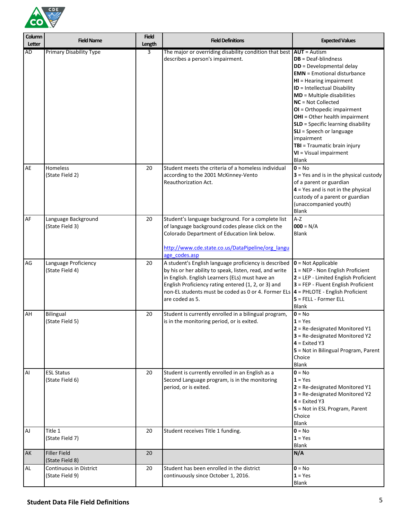

| Column<br>Letter | <b>Field Name</b>                         | <b>Field</b><br>Length | <b>Field Definitions</b>                                                                                                                                                                                                                                                                                                                     | <b>Expected Values</b>                                                                                                                                                                                                                                                                                                                                                                                                                       |
|------------------|-------------------------------------------|------------------------|----------------------------------------------------------------------------------------------------------------------------------------------------------------------------------------------------------------------------------------------------------------------------------------------------------------------------------------------|----------------------------------------------------------------------------------------------------------------------------------------------------------------------------------------------------------------------------------------------------------------------------------------------------------------------------------------------------------------------------------------------------------------------------------------------|
| AD               | <b>Primary Disability Type</b>            | 3                      | The major or overriding disability condition that best $AUT =$ Autism<br>describes a person's impairment.                                                                                                                                                                                                                                    | $DB = Deaf-blindness$<br>DD = Developmental delay<br><b>EMN</b> = Emotional disturbance<br>$HI = Hearing$ impairment<br>ID = Intellectual Disability<br>$MD = Multiple disabilities$<br>$NC = Not$ Collected<br>OI = Orthopedic impairment<br>OHI = Other health impairment<br><b>SLD</b> = Specific learning disability<br>SLI = Speech or language<br>impairment<br>TBI = Traumatic brain injury<br>VI = Visual impairment<br><b>Blank</b> |
| AE               | Homeless<br>(State Field 2)               | 20                     | Student meets the criteria of a homeless individual<br>according to the 2001 McKinney-Vento<br>Reauthorization Act.                                                                                                                                                                                                                          | $0 = No$<br>$3$ = Yes and is in the physical custody<br>of a parent or guardian<br>$4$ = Yes and is not in the physical<br>custody of a parent or guardian<br>(unaccompanied youth)<br><b>Blank</b>                                                                                                                                                                                                                                          |
| AF               | Language Background<br>(State Field 3)    | 20                     | Student's language background. For a complete list<br>of language background codes please click on the<br>Colorado Department of Education link below.<br>http://www.cde.state.co.us/DataPipeline/org langu<br>age codes.asp                                                                                                                 | $A-Z$<br>$000 = N/A$<br><b>Blank</b>                                                                                                                                                                                                                                                                                                                                                                                                         |
| AG               | Language Proficiency<br>(State Field 4)   | 20                     | A student's English language proficiency is described<br>by his or her ability to speak, listen, read, and write<br>in English. English Learners (ELs) must have an<br>English Proficiency rating entered (1, 2, or 3) and<br>non-EL students must be coded as 0 or 4. Former ELs $\vert$ 4 = PHLOTE - English Proficient<br>are coded as 5. | $0 = Not Applicable$<br>$1 =$ NEP - Non English Proficient<br>2 = LEP - Limited English Proficient<br>3 = FEP - Fluent English Proficient<br>$5$ = FELL - Former ELL<br><b>Blank</b>                                                                                                                                                                                                                                                         |
| AH               | <b>Bilingual</b><br>(State Field 5)       | 20                     | Student is currently enrolled in a bilingual program,<br>is in the monitoring period, or is exited.                                                                                                                                                                                                                                          | $0 = No$<br>$1 = Yes$<br>$2$ = Re-designated Monitored Y1<br>3 = Re-designated Monitored Y2<br>$4$ = Exited Y3<br>5 = Not in Bilingual Program, Parent<br>Choice<br><b>Blank</b>                                                                                                                                                                                                                                                             |
| Al               | <b>ESL Status</b><br>(State Field 6)      | 20                     | Student is currently enrolled in an English as a<br>Second Language program, is in the monitoring<br>period, or is exited.                                                                                                                                                                                                                   | $0 = No$<br>$1 = Yes$<br>2 = Re-designated Monitored Y1<br>3 = Re-designated Monitored Y2<br>$4$ = Exited Y3<br>5 = Not in ESL Program, Parent<br>Choice<br><b>Blank</b>                                                                                                                                                                                                                                                                     |
| AJ               | Title 1<br>(State Field 7)                | 20                     | Student receives Title 1 funding.                                                                                                                                                                                                                                                                                                            | $0 = No$<br>$1 = Yes$<br>Blank                                                                                                                                                                                                                                                                                                                                                                                                               |
| AK               | <b>Filler Field</b><br>(State Field 8)    | 20                     |                                                                                                                                                                                                                                                                                                                                              | N/A                                                                                                                                                                                                                                                                                                                                                                                                                                          |
| AL.              | Continuous in District<br>(State Field 9) | 20                     | Student has been enrolled in the district<br>continuously since October 1, 2016.                                                                                                                                                                                                                                                             | $0 = No$<br>$1 = Yes$<br>Blank                                                                                                                                                                                                                                                                                                                                                                                                               |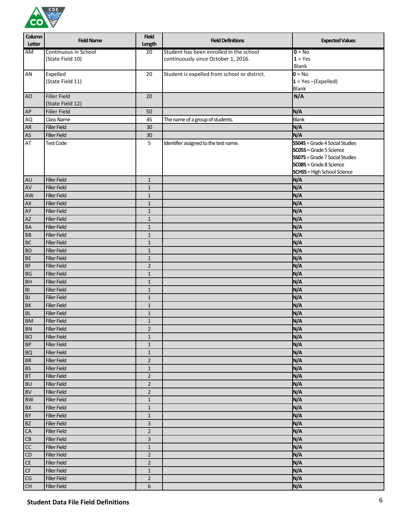

| Column         | <b>Field Name</b>    | <b>Field</b>   | <b>Field Definitions</b>                     | <b>Expected Values</b>                |
|----------------|----------------------|----------------|----------------------------------------------|---------------------------------------|
| Letter         |                      | Length         |                                              |                                       |
| AM             | Continuous in School | 20             | Student has been enrolled in the school      | $0 = No$                              |
|                | (State Field 10)     |                | continuously since October 1, 2016.          | $1 = Yes$<br>Blank                    |
| AN             | Expelled             | 20             | Student is expelled from school or district. | $0 = No$                              |
|                | (State Field 11)     |                |                                              | $1 = Yes - (Expected)$                |
|                |                      |                |                                              | <b>Blank</b>                          |
| A <sub>O</sub> | <b>Filler Field</b>  | 20             |                                              | N/A                                   |
|                | (State Field 12)     |                |                                              |                                       |
| AP             | Filler Field         | 50             |                                              | N/A                                   |
| AQ             | <b>Class Name</b>    | 45             | The name of a group of students.             | <b>Blank</b>                          |
| <b>AR</b>      | <b>Filler Field</b>  | 30             |                                              | N/A                                   |
| AS             | <b>Filler Field</b>  | 30             |                                              | N/A                                   |
| AT             | <b>Test Code</b>     | 5              | Identifier assigned to the test name.        | <b>SS04S</b> = Grade 4 Social Studies |
|                |                      |                |                                              | <b>SC05S</b> = Grade 5 Science        |
|                |                      |                |                                              | <b>SS07S</b> = Grade 7 Social Studies |
|                |                      |                |                                              | <b>SC08S</b> = Grade 8 Science        |
|                |                      |                |                                              | <b>SCHSS</b> = High School Science    |
| <b>AU</b>      | <b>Filler Field</b>  | $\mathbf{1}$   |                                              | N/A                                   |
| AV             | <b>Filler Field</b>  | $\mathbf{1}$   |                                              | N/A                                   |
| AW             | <b>Filler Field</b>  | $\mathbf{1}$   |                                              | N/A                                   |
| AX             | <b>Filler Field</b>  | $\mathbf{1}$   |                                              | N/A                                   |
| AY             | <b>Filler Field</b>  | $\mathbf{1}$   |                                              | N/A                                   |
| AZ             | <b>Filler Field</b>  | $\mathbf{1}$   |                                              | N/A                                   |
| <b>BA</b>      | <b>Filler Field</b>  | $\mathbf{1}$   |                                              | N/A                                   |
| <b>BB</b>      | <b>Filler Field</b>  | $\mathbf{1}$   |                                              | N/A                                   |
| <b>BC</b>      | <b>Filler Field</b>  | $1\,$          |                                              | N/A                                   |
| <b>BD</b>      | <b>Filler Field</b>  | $1\,$          |                                              | N/A                                   |
| <b>BE</b>      | <b>Filler Field</b>  | $\mathbf{1}$   |                                              | N/A                                   |
| <b>BF</b>      | <b>Filler Field</b>  | $\overline{2}$ |                                              | N/A                                   |
| <b>BG</b>      | <b>Filler Field</b>  | $\mathbf 1$    |                                              | N/A                                   |
| <b>BH</b>      | <b>Filler Field</b>  | $\mathbf 1$    |                                              | N/A                                   |
| B <sub>l</sub> | <b>Filler Field</b>  | $\mathbf{1}$   |                                              | N/A                                   |
| <b>BJ</b>      | <b>Filler Field</b>  | $\mathbf{1}$   |                                              | N/A                                   |
| <b>BK</b>      | <b>Filler Field</b>  | $\mathbf 1$    |                                              | N/A                                   |
| <b>BL</b>      | <b>Filler Field</b>  | $\mathbf{1}$   |                                              | N/A                                   |
| <b>BM</b>      | <b>Filler Field</b>  | $\mathbf{1}$   |                                              | N/A                                   |
| BN             | <b>Filler Field</b>  | $\mathbf 2$    |                                              | N/A                                   |
| <b>BO</b>      | <b>Filler Field</b>  | $\mathbf{1}$   |                                              | N/A                                   |
| BP             | <b>Filler Field</b>  | $\mathbf{1}$   |                                              | N/A                                   |
| <b>BQ</b>      | <b>Filler Field</b>  | $1\,$          |                                              | N/A                                   |
| <b>BR</b>      | <b>Filler Field</b>  | $\overline{2}$ |                                              | N/A                                   |
| <b>BS</b>      | <b>Filler Field</b>  | $\mathbf 1$    |                                              | N/A                                   |
| BT             | <b>Filler Field</b>  | $\overline{2}$ |                                              | N/A                                   |
| <b>BU</b>      | <b>Filler Field</b>  | $\overline{2}$ |                                              | N/A                                   |
| <b>BV</b>      | <b>Filler Field</b>  | $\overline{2}$ |                                              | N/A                                   |
| <b>BW</b>      | <b>Filler Field</b>  | $1\,$          |                                              | N/A                                   |
| <b>BX</b>      | <b>Filler Field</b>  | $1\,$          |                                              | N/A                                   |
| BY             | <b>Filler Field</b>  | $\mathbf{1}$   |                                              | N/A                                   |
| <b>BZ</b>      | <b>Filler Field</b>  | 3              |                                              | N/A                                   |
| CA             | <b>Filler Field</b>  | $\overline{2}$ |                                              | N/A                                   |
| CB             | <b>Filler Field</b>  | 3              |                                              | N/A                                   |
| cc             | <b>Filler Field</b>  | $\mathbf 1$    |                                              | N/A                                   |
| CD             | <b>Filler Field</b>  | $\overline{2}$ |                                              | N/A                                   |
| CE             | <b>Filler Field</b>  | $\overline{2}$ |                                              | N/A                                   |
| CF             | <b>Filler Field</b>  | $\mathbf 1$    |                                              | N/A                                   |
| CG             | <b>Filler Field</b>  | $\overline{2}$ |                                              | N/A                                   |
| CH             | <b>Filler Field</b>  | $\,$ 6 $\,$    |                                              | N/A                                   |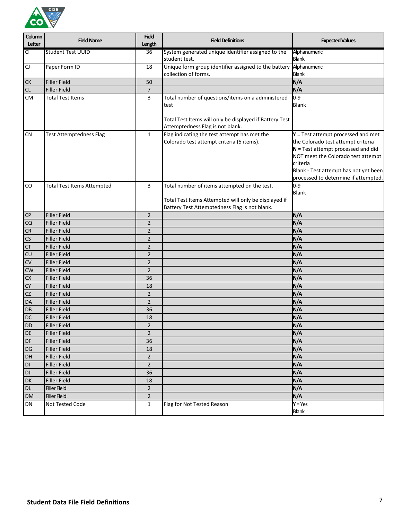

| Column                 | <b>Field Name</b>                 | <b>Field</b>    | <b>Field Definitions</b>                                                                                                                              | <b>Expected Values</b>                                                                                                                                                                                                                                |
|------------------------|-----------------------------------|-----------------|-------------------------------------------------------------------------------------------------------------------------------------------------------|-------------------------------------------------------------------------------------------------------------------------------------------------------------------------------------------------------------------------------------------------------|
| Letter                 |                                   | Length          |                                                                                                                                                       |                                                                                                                                                                                                                                                       |
| CI                     | <b>Student Test UUID</b>          | $\overline{36}$ | System generated unique identifier assigned to the<br>student test.                                                                                   | Alphanumeric<br><b>Blank</b>                                                                                                                                                                                                                          |
| ${\sf C}$              | Paper Form ID                     | 18              | Unique form group identifier assigned to the battery<br>collection of forms.                                                                          | Alphanumeric<br><b>Blank</b>                                                                                                                                                                                                                          |
| <b>CK</b>              | <b>Filler Field</b>               | 50              |                                                                                                                                                       | N/A                                                                                                                                                                                                                                                   |
| CL                     | Filler Field                      | 7               |                                                                                                                                                       | N/A                                                                                                                                                                                                                                                   |
| <b>CM</b>              | <b>Total Test Items</b>           | 3               | Total number of questions/items on a administered                                                                                                     | $0 - 9$                                                                                                                                                                                                                                               |
|                        |                                   |                 | test<br>Total Test Items will only be displayed if Battery Test                                                                                       | <b>Blank</b>                                                                                                                                                                                                                                          |
|                        |                                   |                 | Attemptedness Flag is not blank.                                                                                                                      |                                                                                                                                                                                                                                                       |
| <b>CN</b>              | <b>Test Attemptedness Flag</b>    | $\mathbf{1}$    | Flag indicating the test attempt has met the<br>Colorado test attempt criteria (5 items).                                                             | $Y = Test$ attempt processed and met<br>the Colorado test attempt criteria<br>$N$ = Test attempt processed and did<br>NOT meet the Colorado test attempt<br>criteria<br>Blank - Test attempt has not yet been<br>processed to determine if attempted. |
| CO                     | <b>Total Test Items Attempted</b> | 3               | Total number of items attempted on the test.<br>Total Test Items Attempted will only be displayed if<br>Battery Test Attemptedness Flag is not blank. | $0 - 9$<br><b>Blank</b>                                                                                                                                                                                                                               |
| CP                     | <b>Filler Field</b>               | $\overline{2}$  |                                                                                                                                                       | N/A                                                                                                                                                                                                                                                   |
| CQ                     | Filler Field                      | $\overline{2}$  |                                                                                                                                                       | N/A                                                                                                                                                                                                                                                   |
| CR                     | Filler Field                      | $\overline{2}$  |                                                                                                                                                       | N/A                                                                                                                                                                                                                                                   |
| CS                     | Filler Field                      | $\overline{2}$  |                                                                                                                                                       | N/A                                                                                                                                                                                                                                                   |
| CT                     | Filler Field                      | $\overline{2}$  |                                                                                                                                                       | N/A                                                                                                                                                                                                                                                   |
| CU                     | Filler Field                      | $\overline{2}$  |                                                                                                                                                       | N/A                                                                                                                                                                                                                                                   |
| CV                     | Filler Field                      | $\overline{2}$  |                                                                                                                                                       | N/A                                                                                                                                                                                                                                                   |
| <b>CW</b>              | <b>Filler Field</b>               | $\overline{2}$  |                                                                                                                                                       | N/A                                                                                                                                                                                                                                                   |
| CX                     | Filler Field                      | 36              |                                                                                                                                                       | N/A                                                                                                                                                                                                                                                   |
| <b>CY</b>              | Filler Field                      | 18              |                                                                                                                                                       | N/A                                                                                                                                                                                                                                                   |
| CZ                     | Filler Field                      | $\overline{2}$  |                                                                                                                                                       | N/A                                                                                                                                                                                                                                                   |
| DA                     | <b>Filler Field</b>               | $\overline{2}$  |                                                                                                                                                       | N/A                                                                                                                                                                                                                                                   |
| DB                     | <b>Filler Field</b>               | 36              |                                                                                                                                                       | N/A                                                                                                                                                                                                                                                   |
| DC                     | <b>Filler Field</b>               | 18              |                                                                                                                                                       | N/A                                                                                                                                                                                                                                                   |
| <b>DD</b>              | <b>Filler Field</b>               | $\overline{2}$  |                                                                                                                                                       | N/A                                                                                                                                                                                                                                                   |
| <b>DE</b>              | <b>Filler Field</b>               | $\overline{2}$  |                                                                                                                                                       | N/A                                                                                                                                                                                                                                                   |
| DF                     | Filler Field                      | 36              |                                                                                                                                                       | N/A                                                                                                                                                                                                                                                   |
| $DG$                   | Filler Field                      | 18              |                                                                                                                                                       | N/A                                                                                                                                                                                                                                                   |
| DH                     | Filler Field                      | $\overline{2}$  |                                                                                                                                                       | N/A                                                                                                                                                                                                                                                   |
| $\mathsf{D}\mathsf{I}$ | Filler Field                      | $\overline{2}$  |                                                                                                                                                       | N/A                                                                                                                                                                                                                                                   |
| <b>DJ</b>              | Filler Field                      | 36              |                                                                                                                                                       | N/A                                                                                                                                                                                                                                                   |
| DK                     | Filler Field                      | 18              |                                                                                                                                                       | N/A                                                                                                                                                                                                                                                   |
| <b>DL</b>              | <b>Filler Field</b>               | $\overline{2}$  |                                                                                                                                                       | N/A                                                                                                                                                                                                                                                   |
| <b>DM</b>              | <b>Filler Field</b>               | $\overline{2}$  |                                                                                                                                                       | N/A                                                                                                                                                                                                                                                   |
| DN                     | Not Tested Code                   | $\mathbf{1}$    | Flag for Not Tested Reason                                                                                                                            | $Y = Yes$                                                                                                                                                                                                                                             |
|                        |                                   |                 |                                                                                                                                                       | <b>Blank</b>                                                                                                                                                                                                                                          |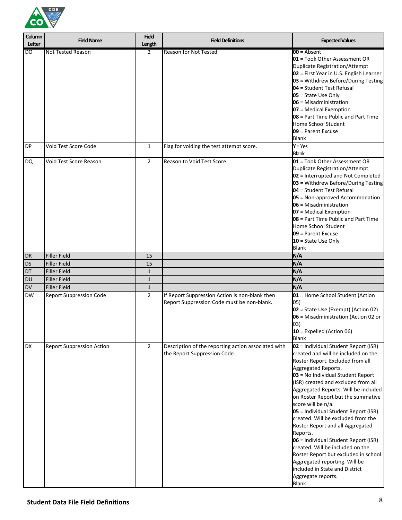

| Column<br>Letter | <b>Field Name</b>                | <b>Field</b><br>Length | <b>Field Definitions</b>                                                                     | <b>Expected Values</b>                                                                                                                                                                                                                                                                                                                                                                                                                                                                                                                                                                                                                                                            |
|------------------|----------------------------------|------------------------|----------------------------------------------------------------------------------------------|-----------------------------------------------------------------------------------------------------------------------------------------------------------------------------------------------------------------------------------------------------------------------------------------------------------------------------------------------------------------------------------------------------------------------------------------------------------------------------------------------------------------------------------------------------------------------------------------------------------------------------------------------------------------------------------|
| Ю                | <b>Not Tested Reason</b>         | $\overline{2}$         | Reason for Not Tested.                                                                       | $00 =$ Absent<br>01 = Took Other Assessment OR<br>Duplicate Registration/Attempt<br>02 = First Year in U.S. English Learner<br>03 = Withdrew Before/During Testing<br>04 = Student Test Refusal<br>$05$ = State Use Only<br>$06$ = Misadministration<br>07 = Medical Exemption<br>08 = Part Time Public and Part Time<br>Home School Student<br>09 = Parent Excuse<br><b>Blank</b>                                                                                                                                                                                                                                                                                                |
| <b>DP</b>        | Void Test Score Code             | $\mathbf{1}$           | Flag for voiding the test attempt score.                                                     | $Y = Yes$<br><b>Blank</b>                                                                                                                                                                                                                                                                                                                                                                                                                                                                                                                                                                                                                                                         |
| <b>DQ</b>        | Void Test Score Reason           | $\overline{2}$         | Reason to Void Test Score.                                                                   | 01 = Took Other Assessment OR<br>Duplicate Registration/Attempt<br>02 = Interrupted and Not Completed<br>03 = Withdrew Before/During Testing<br>04 = Student Test Refusal<br>05 = Non-approved Accommodation<br>$06$ = Misadministration<br>07 = Medical Exemption<br>08 = Part Time Public and Part Time<br>Home School Student<br>09 = Parent Excuse<br>10 = State Use Only<br><b>Blank</b>                                                                                                                                                                                                                                                                                     |
| <b>DR</b>        | <b>Filler Field</b>              | 15                     |                                                                                              | N/A                                                                                                                                                                                                                                                                                                                                                                                                                                                                                                                                                                                                                                                                               |
| DS               | <b>Filler Field</b>              | 15                     |                                                                                              | N/A                                                                                                                                                                                                                                                                                                                                                                                                                                                                                                                                                                                                                                                                               |
| <b>DT</b>        | <b>Filler Field</b>              | $\mathbf{1}$           |                                                                                              | N/A                                                                                                                                                                                                                                                                                                                                                                                                                                                                                                                                                                                                                                                                               |
| DU               | <b>Filler Field</b>              | $\mathbf{1}$           |                                                                                              | N/A                                                                                                                                                                                                                                                                                                                                                                                                                                                                                                                                                                                                                                                                               |
| DV               | <b>Filler Field</b>              | $\mathbf{1}$           |                                                                                              | N/A                                                                                                                                                                                                                                                                                                                                                                                                                                                                                                                                                                                                                                                                               |
| <b>DW</b>        | <b>Report Suppression Code</b>   | $\overline{2}$         | If Report Suppression Action is non-blank then<br>Report Suppression Code must be non-blank. | 01 = Home School Student (Action<br>05)<br>02 = State Use (Exempt) (Action 02)<br>06 = Misadministration (Action 02 or<br>03)<br>$10$ = Expelled (Action 06)<br><b>Blank</b>                                                                                                                                                                                                                                                                                                                                                                                                                                                                                                      |
| <b>DX</b>        | <b>Report Suppression Action</b> | $\overline{2}$         | Description of the reporting action associated with<br>the Report Suppression Code.          | 02 = Individual Student Report (ISR)<br>created and will be included on the<br>Roster Report. Excluded from all<br>Aggregated Reports.<br>03 = No Individual Student Report<br>(ISR) created and excluded from all<br>Aggregated Reports. Will be included<br>on Roster Report but the summative<br>score will be n/a.<br>05 = Individual Student Report (ISR)<br>created. Will be excluded from the<br>Roster Report and all Aggregated<br>Reports.<br>06 = Individual Student Report (ISR)<br>created. Will be included on the<br>Roster Report but excluded in school<br>Aggregated reporting. Will be<br>included in State and District<br>Aggregate reports.<br><b>Blank</b> |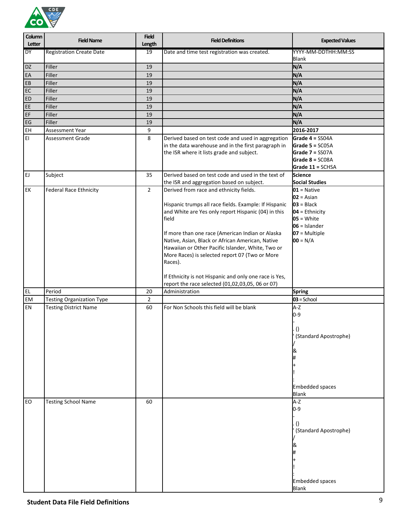

| Column<br>Letter | <b>Field Name</b>                | <b>Field</b><br>Length | <b>Field Definitions</b>                               | <b>Expected Values</b>                    |
|------------------|----------------------------------|------------------------|--------------------------------------------------------|-------------------------------------------|
| <b>DY</b>        | <b>Registration Create Date</b>  | 19                     | Date and time test registration was created.           | YYYY-MM-DDTHH:MM:SS<br>Blank              |
| DZ               | Filler                           | 19                     |                                                        | N/A                                       |
| EA               | Filler                           | 19                     |                                                        | N/A                                       |
| EB               | Filler                           | 19                     |                                                        | N/A                                       |
| EC               | Filler                           | 19                     |                                                        | N/A                                       |
| ED               | Filler                           | 19                     |                                                        | N/A                                       |
| EE               | Filler                           | 19                     |                                                        | N/A                                       |
| EF               | Filler                           | 19                     |                                                        | N/A                                       |
| EG               | Filler                           | 19                     |                                                        | N/A                                       |
| EH               | Assessment Year                  | 9                      |                                                        | 2016-2017                                 |
| EI               | <b>Assessment Grade</b>          | 8                      | Derived based on test code and used in aggregation     | Grade $4 =$ SS04A                         |
|                  |                                  |                        | in the data warehouse and in the first paragraph in    | Grade $5 = SC05A$                         |
|                  |                                  |                        | the ISR where it lists grade and subject.              | Grade 7 = SS07A                           |
|                  |                                  |                        |                                                        | Grade $8 = SCO8A$                         |
|                  |                                  |                        |                                                        | Grade 11 = SCHSA                          |
| EJ               | Subject                          | 35                     | Derived based on test code and used in the text of     | <b>Science</b>                            |
|                  |                                  |                        | the ISR and aggregation based on subject.              | <b>Social Studies</b>                     |
| EK               | <b>Federal Race Ethnicity</b>    | $\overline{2}$         | Derived from race and ethnicity fields.                | $01 =$ Native                             |
|                  |                                  |                        |                                                        | $02 = Asian$                              |
|                  |                                  |                        | Hispanic trumps all race fields. Example: If Hispanic  | $03 = Black$                              |
|                  |                                  |                        | and White are Yes only report Hispanic (04) in this    | $04 =$ Ethnicity                          |
|                  |                                  |                        | field                                                  | $05 = White$                              |
|                  |                                  |                        |                                                        | $06 =$ Islander                           |
|                  |                                  |                        | If more than one race (American Indian or Alaska       | $07 = Multiple$                           |
|                  |                                  |                        | Native, Asian, Black or African American, Native       | $00 = N/A$                                |
|                  |                                  |                        | Hawaiian or Other Pacific Islander, White, Two or      |                                           |
|                  |                                  |                        | More Races) is selected report 07 (Two or More         |                                           |
|                  |                                  |                        | Races).                                                |                                           |
|                  |                                  |                        |                                                        |                                           |
|                  |                                  |                        | If Ethnicity is not Hispanic and only one race is Yes, |                                           |
|                  |                                  |                        | report the race selected (01,02,03,05, 06 or 07)       |                                           |
| EL               | Period                           | 20                     | Administration                                         | <b>Spring</b>                             |
| EM               | <b>Testing Organization Type</b> | $\overline{2}$         |                                                        | $03 =$ School                             |
| EN               | <b>Testing District Name</b>     | 60                     | For Non Schools this field will be blank               | $A-Z$                                     |
|                  |                                  |                        |                                                        | $0 - 9$                                   |
|                  |                                  |                        |                                                        |                                           |
|                  |                                  |                        |                                                        | $\left( \right)$                          |
|                  |                                  |                        |                                                        | (Standard Apostrophe)                     |
|                  |                                  |                        |                                                        |                                           |
|                  |                                  |                        |                                                        |                                           |
|                  |                                  |                        |                                                        |                                           |
|                  |                                  |                        |                                                        |                                           |
|                  |                                  |                        |                                                        |                                           |
|                  |                                  |                        |                                                        | <b>Embedded spaces</b>                    |
|                  |                                  |                        |                                                        | <b>Blank</b>                              |
| EO               | <b>Testing School Name</b>       | 60                     |                                                        | $A-Z$                                     |
|                  |                                  |                        |                                                        | $0 - 9$                                   |
|                  |                                  |                        |                                                        |                                           |
|                  |                                  |                        |                                                        |                                           |
|                  |                                  |                        |                                                        | $\left( \right)$<br>(Standard Apostrophe) |
|                  |                                  |                        |                                                        |                                           |
|                  |                                  |                        |                                                        |                                           |
|                  |                                  |                        |                                                        |                                           |
|                  |                                  |                        |                                                        |                                           |
|                  |                                  |                        |                                                        |                                           |
|                  |                                  |                        |                                                        |                                           |
|                  |                                  |                        |                                                        | <b>Embedded spaces</b>                    |
|                  |                                  |                        |                                                        | <b>Blank</b>                              |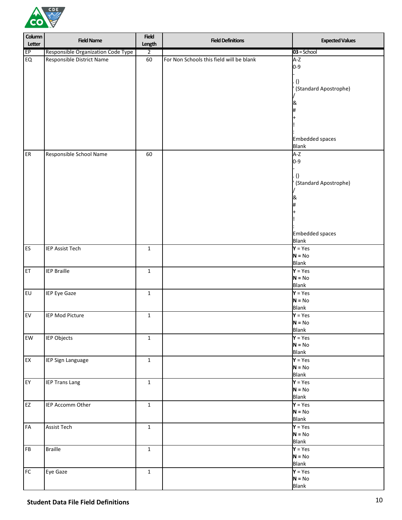

| Column<br>Letter       | <b>Field Name</b>                  | <b>Field</b><br>Length | <b>Field Definitions</b>                 | <b>Expected Values</b>   |
|------------------------|------------------------------------|------------------------|------------------------------------------|--------------------------|
| EP                     | Responsible Organization Code Type | $\overline{2}$         |                                          | $03 =$ School            |
| EQ                     | Responsible District Name          | 60                     | For Non Schools this field will be blank | $A-Z$                    |
|                        |                                    |                        |                                          | $0 - 9$                  |
|                        |                                    |                        |                                          |                          |
|                        |                                    |                        |                                          | $\left( \right)$         |
|                        |                                    |                        |                                          | (Standard Apostrophe)    |
|                        |                                    |                        |                                          |                          |
|                        |                                    |                        |                                          |                          |
|                        |                                    |                        |                                          |                          |
|                        |                                    |                        |                                          |                          |
|                        |                                    |                        |                                          |                          |
|                        |                                    |                        |                                          |                          |
|                        |                                    |                        |                                          | <b>Embedded spaces</b>   |
|                        |                                    |                        |                                          | <b>Blank</b>             |
| ER                     | Responsible School Name            | 60                     |                                          | $A-Z$                    |
|                        |                                    |                        |                                          | $0 - 9$                  |
|                        |                                    |                        |                                          |                          |
|                        |                                    |                        |                                          | $\left( \right)$         |
|                        |                                    |                        |                                          | (Standard Apostrophe)    |
|                        |                                    |                        |                                          |                          |
|                        |                                    |                        |                                          |                          |
|                        |                                    |                        |                                          |                          |
|                        |                                    |                        |                                          |                          |
|                        |                                    |                        |                                          |                          |
|                        |                                    |                        |                                          | <b>Embedded spaces</b>   |
|                        |                                    |                        |                                          | <b>Blank</b>             |
| ES                     | <b>IEP Assist Tech</b>             | $\mathbf{1}$           |                                          | $Y = Yes$                |
|                        |                                    |                        |                                          | $N = No$                 |
|                        |                                    |                        |                                          | <b>Blank</b>             |
| ET                     | <b>IEP Braille</b>                 | $\mathbf{1}$           |                                          | $Y = Yes$                |
|                        |                                    |                        |                                          | $N = No$                 |
|                        |                                    |                        |                                          | <b>Blank</b>             |
| EU                     | IEP Eye Gaze                       | $\mathbf 1$            |                                          | $Y = Yes$                |
|                        |                                    |                        |                                          | $N = No$                 |
|                        |                                    |                        |                                          | <b>Blank</b>             |
| ${\sf EV}$             | <b>IEP Mod Picture</b>             | $\mathbf 1$            |                                          | $Y = Yes$                |
|                        |                                    |                        |                                          | $N = No$                 |
|                        |                                    |                        |                                          | Blank                    |
| EW                     | IEP Objects                        | $\mathbf{1}$           |                                          | $Y = Yes$                |
|                        |                                    |                        |                                          | $N = No$                 |
|                        |                                    |                        |                                          | <b>Blank</b>             |
| EX                     | IEP Sign Language                  | $\mathbf 1$            |                                          | $Y = Yes$                |
|                        |                                    |                        |                                          | $N = No$<br><b>Blank</b> |
| EY                     | <b>IEP Trans Lang</b>              | $\mathbf{1}$           |                                          | $Y = Yes$                |
|                        |                                    |                        |                                          | $N = No$                 |
|                        |                                    |                        |                                          | <b>Blank</b>             |
| $\mathsf{E}\mathsf{Z}$ | IEP Accomm Other                   | $\mathbf 1$            |                                          | $Y = Yes$                |
|                        |                                    |                        |                                          | $N = No$                 |
|                        |                                    |                        |                                          | <b>Blank</b>             |
| ${\sf FA}$             | <b>Assist Tech</b>                 | $\mathbf{1}$           |                                          | $Y = Yes$                |
|                        |                                    |                        |                                          | $N = No$                 |
|                        |                                    |                        |                                          | <b>Blank</b>             |
| ${\sf FB}$             | <b>Braille</b>                     | $\mathbf{1}$           |                                          | $Y = Yes$                |
|                        |                                    |                        |                                          | $N = No$                 |
|                        |                                    |                        |                                          | <b>Blank</b>             |
| ${\sf FC}$             | Eye Gaze                           | $\mathbf{1}$           |                                          | $Y = Yes$                |
|                        |                                    |                        |                                          | $N = No$                 |
|                        |                                    |                        |                                          | <b>Blank</b>             |